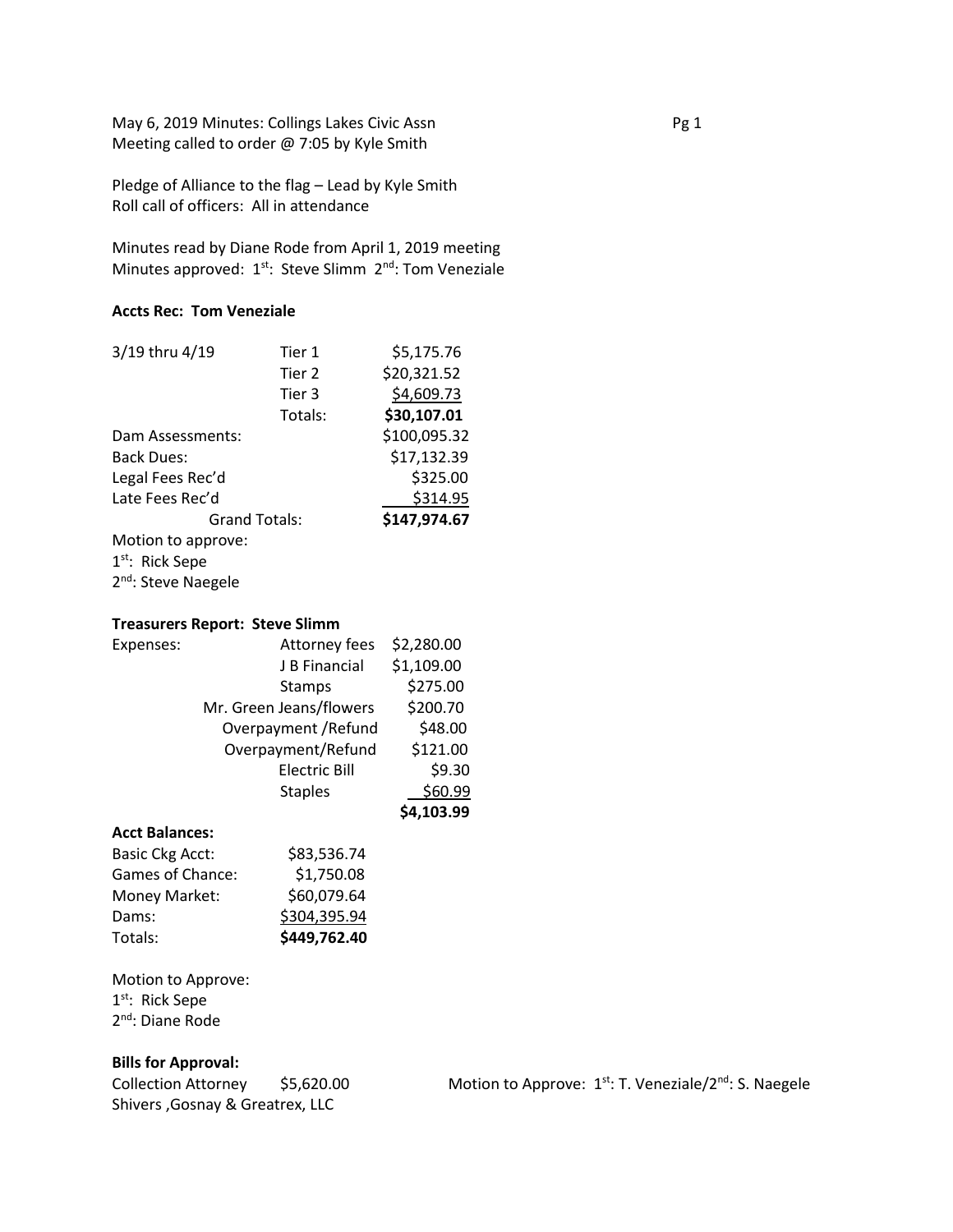May 6, 2019 Minutes: Collings Lakes Civic Assn **Pg 1** Pg 1 Meeting called to order @ 7:05 by Kyle Smith

Pledge of Alliance to the flag – Lead by Kyle Smith Roll call of officers: All in attendance

Minutes read by Diane Rode from April 1, 2019 meeting Minutes approved: 1<sup>st</sup>: Steve Slimm 2<sup>nd</sup>: Tom Veneziale

# **Accts Rec: Tom Veneziale**

| 3/19 thru 4/19       | Tier 1  | \$5,175.76   |
|----------------------|---------|--------------|
|                      | Tier 2  | \$20,321.52  |
|                      | Tier 3  | \$4,609.73   |
|                      | Totals: | \$30,107.01  |
| Dam Assessments:     |         | \$100,095.32 |
| <b>Back Dues:</b>    |         | \$17,132.39  |
| Legal Fees Rec'd     |         | \$325.00     |
| Late Fees Rec'd      |         | \$314.95     |
| <b>Grand Totals:</b> |         | \$147,974.67 |
| Motion to approve:   |         |              |
| $1st$ : Rick Sepe    |         |              |

2<sup>nd</sup>: Steve Naegele

## **Treasurers Report: Steve Slimm**

| Expenses: | Attorney fees           | \$2,280.00 |
|-----------|-------------------------|------------|
|           | J B Financial           | \$1,109.00 |
|           | Stamps                  | \$275.00   |
|           | Mr. Green Jeans/flowers | \$200.70   |
|           | Overpayment / Refund    | \$48.00    |
|           | Overpayment/Refund      | \$121.00   |
|           | <b>Electric Bill</b>    | \$9.30     |
|           | <b>Staples</b>          | \$60.99    |
|           |                         | \$4,103.99 |
|           |                         |            |

# **Acct Balances:**

| <b>Basic Ckg Acct:</b> | \$83,536.74  |
|------------------------|--------------|
| Games of Chance:       | \$1,750.08   |
| Money Market:          | \$60,079.64  |
| Dams:                  | \$304,395.94 |
| Totals:                | \$449,762.40 |

Motion to Approve:

1<sup>st</sup>: Rick Sepe 2<sup>nd</sup>: Diane Rode

**Bills for Approval:** Shivers ,Gosnay & Greatrex, LLC

Collection Attorney \$5,620.00 Motion to Approve: 1st: T. Veneziale/2<sup>nd</sup>: S. Naegele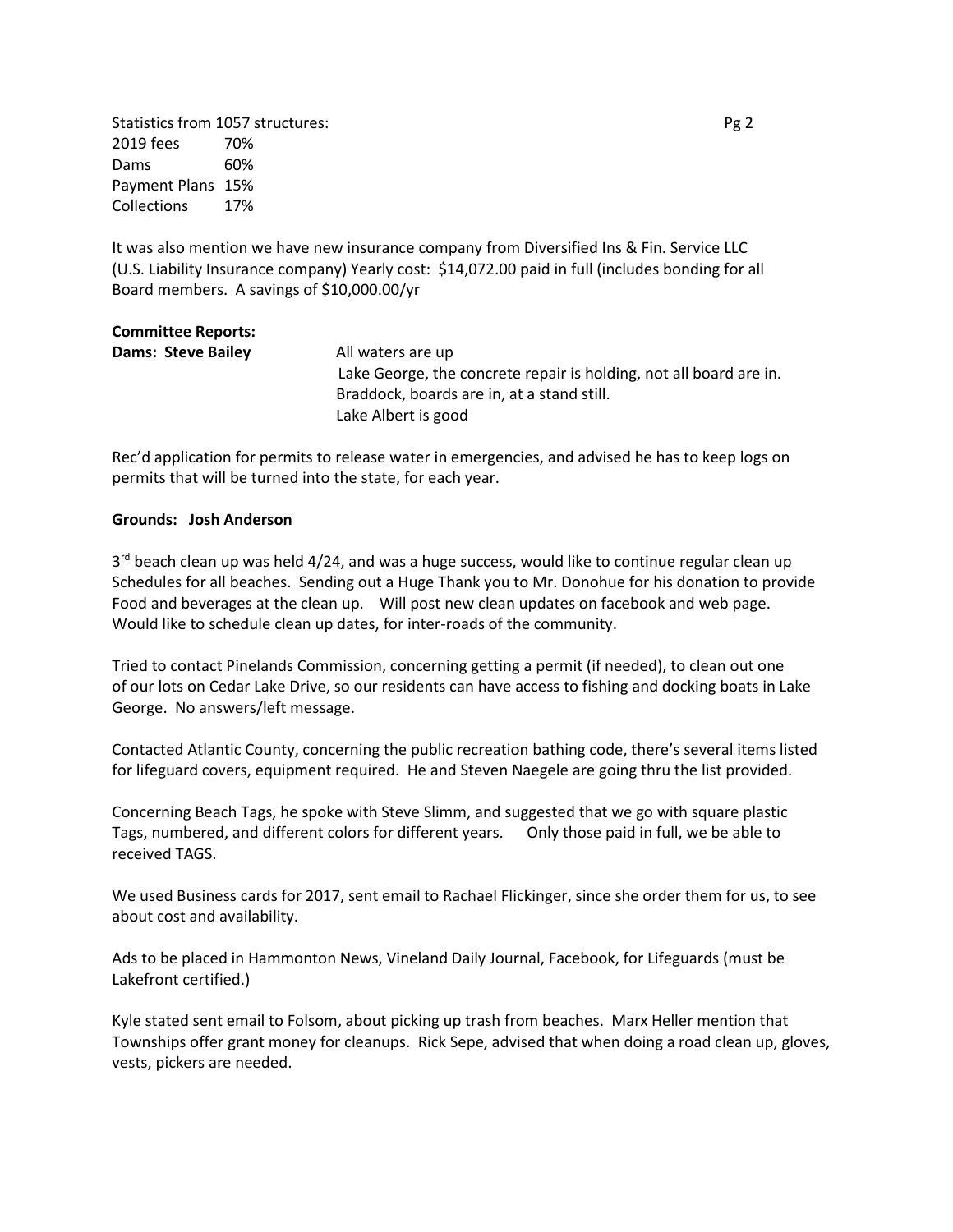Statistics from 1057 structures: Pg 2 2019 fees 70% Dams 60% Payment Plans 15% Collections 17%

It was also mention we have new insurance company from Diversified Ins & Fin. Service LLC (U.S. Liability Insurance company) Yearly cost: \$14,072.00 paid in full (includes bonding for all Board members. A savings of \$10,000.00/yr

| <b>Committee Reports:</b> |                                                                    |
|---------------------------|--------------------------------------------------------------------|
| Dams: Steve Bailey        | All waters are up                                                  |
|                           | Lake George, the concrete repair is holding, not all board are in. |
|                           | Braddock, boards are in, at a stand still.                         |
|                           | Lake Albert is good                                                |

Rec'd application for permits to release water in emergencies, and advised he has to keep logs on permits that will be turned into the state, for each year.

#### **Grounds: Josh Anderson**

3<sup>rd</sup> beach clean up was held 4/24, and was a huge success, would like to continue regular clean up Schedules for all beaches. Sending out a Huge Thank you to Mr. Donohue for his donation to provide Food and beverages at the clean up. Will post new clean updates on facebook and web page. Would like to schedule clean up dates, for inter-roads of the community.

Tried to contact Pinelands Commission, concerning getting a permit (if needed), to clean out one of our lots on Cedar Lake Drive, so our residents can have access to fishing and docking boats in Lake George. No answers/left message.

Contacted Atlantic County, concerning the public recreation bathing code, there's several items listed for lifeguard covers, equipment required. He and Steven Naegele are going thru the list provided.

Concerning Beach Tags, he spoke with Steve Slimm, and suggested that we go with square plastic Tags, numbered, and different colors for different years. Only those paid in full, we be able to received TAGS.

We used Business cards for 2017, sent email to Rachael Flickinger, since she order them for us, to see about cost and availability.

Ads to be placed in Hammonton News, Vineland Daily Journal, Facebook, for Lifeguards (must be Lakefront certified.)

Kyle stated sent email to Folsom, about picking up trash from beaches. Marx Heller mention that Townships offer grant money for cleanups. Rick Sepe, advised that when doing a road clean up, gloves, vests, pickers are needed.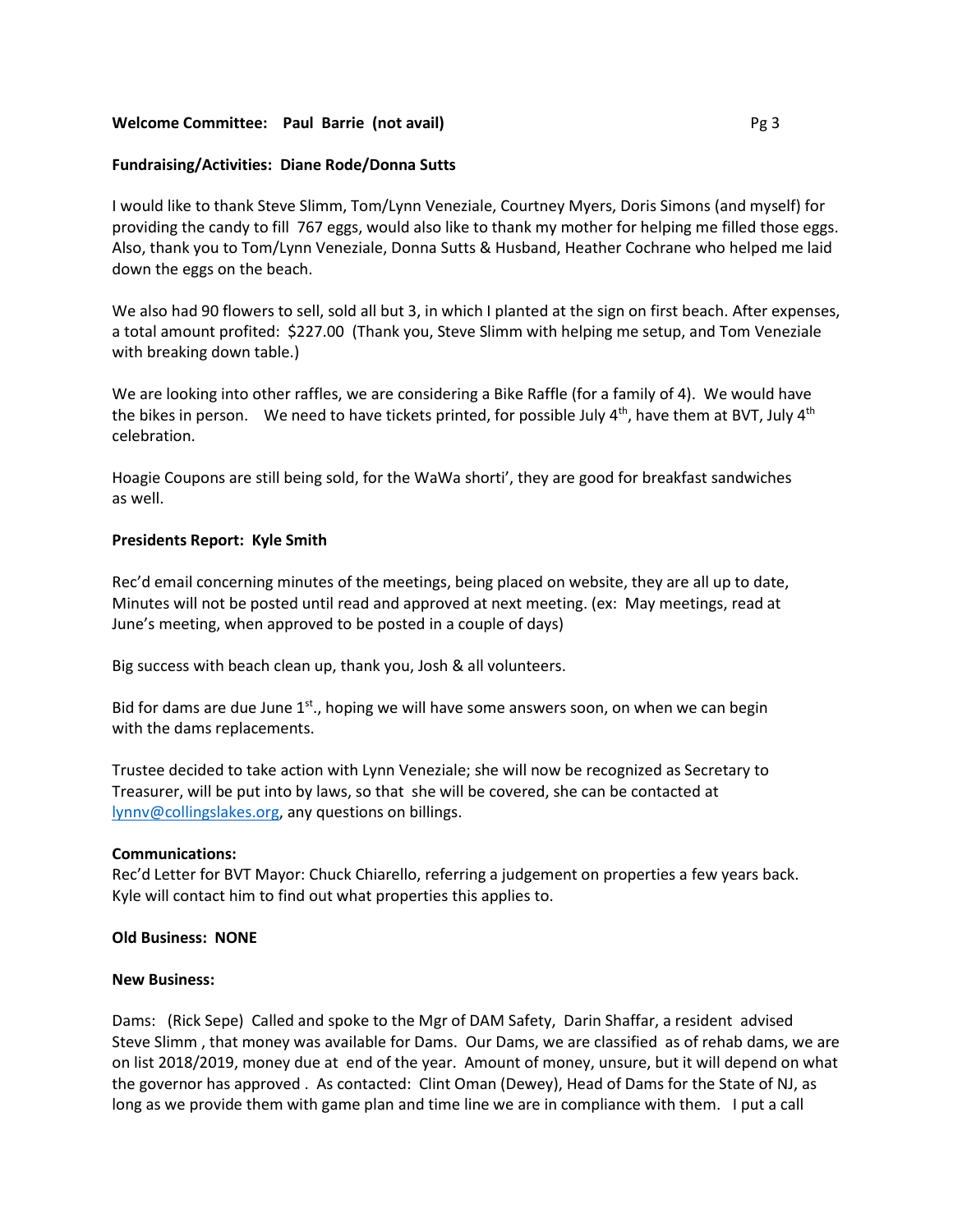## **Welcome Committee: Paul Barrie (not avail) Department of the Committee: Pg 3**

## **Fundraising/Activities: Diane Rode/Donna Sutts**

I would like to thank Steve Slimm, Tom/Lynn Veneziale, Courtney Myers, Doris Simons (and myself) for providing the candy to fill 767 eggs, would also like to thank my mother for helping me filled those eggs. Also, thank you to Tom/Lynn Veneziale, Donna Sutts & Husband, Heather Cochrane who helped me laid down the eggs on the beach.

We also had 90 flowers to sell, sold all but 3, in which I planted at the sign on first beach. After expenses, a total amount profited: \$227.00 (Thank you, Steve Slimm with helping me setup, and Tom Veneziale with breaking down table.)

We are looking into other raffles, we are considering a Bike Raffle (for a family of 4). We would have the bikes in person. We need to have tickets printed, for possible July  $4^{th}$ , have them at BVT, July  $4^{th}$ celebration.

Hoagie Coupons are still being sold, for the WaWa shorti', they are good for breakfast sandwiches as well.

### **Presidents Report: Kyle Smith**

Rec'd email concerning minutes of the meetings, being placed on website, they are all up to date, Minutes will not be posted until read and approved at next meeting. (ex: May meetings, read at June's meeting, when approved to be posted in a couple of days)

Big success with beach clean up, thank you, Josh & all volunteers.

Bid for dams are due June  $1<sup>st</sup>$ , hoping we will have some answers soon, on when we can begin with the dams replacements.

Trustee decided to take action with Lynn Veneziale; she will now be recognized as Secretary to Treasurer, will be put into by laws, so that she will be covered, she can be contacted at [lynnv@collingslakes.org,](mailto:lynnv@collingslakes.org) any questions on billings.

### **Communications:**

Rec'd Letter for BVT Mayor: Chuck Chiarello, referring a judgement on properties a few years back. Kyle will contact him to find out what properties this applies to.

## **Old Business: NONE**

### **New Business:**

Dams: (Rick Sepe) Called and spoke to the Mgr of DAM Safety, Darin Shaffar, a resident advised Steve Slimm , that money was available for Dams. Our Dams, we are classified as of rehab dams, we are on list 2018/2019, money due at end of the year. Amount of money, unsure, but it will depend on what the governor has approved . As contacted: Clint Oman (Dewey), Head of Dams for the State of NJ, as long as we provide them with game plan and time line we are in compliance with them. I put a call